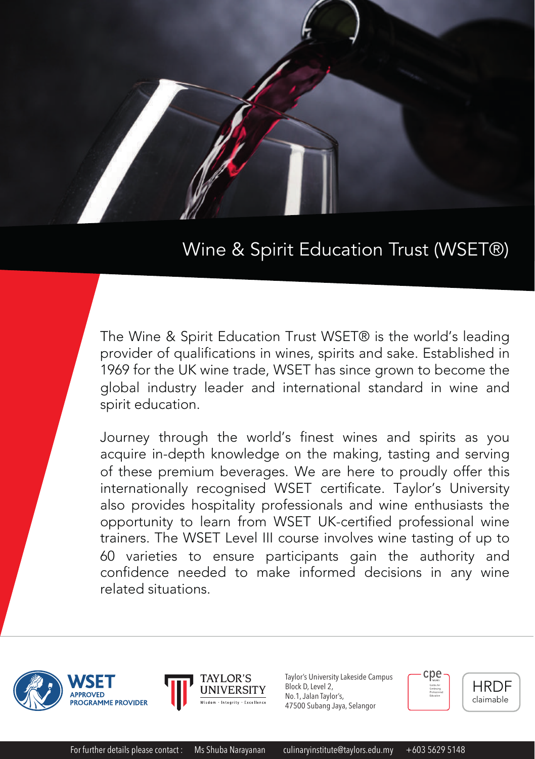

# Wine & Spirit Education Trust (WSET®)

The Wine & Spirit Education Trust WSET® is the world's leading provider of qualifications in wines, spirits and sake. Established in 1969 for the UK wine trade, WSET has since grown to become the global industry leader and international standard in wine and spirit education.

Journey through the world's finest wines and spirits as you acquire in-depth knowledge on the making, tasting and serving of these premium beverages. We are here to proudly offer this internationally recognised WSET certificate. Taylor's University also provides hospitality professionals and wine enthusiasts the opportunity to learn from WSET UK-certified professional wine trainers. The WSET Level III course involves wine tasting of up to 60 varieties to ensure participants gain the authority and confidence needed to make informed decisions in any wine related situations.





Taylor's University Lakeside Campus Block D, Level 2, No.1, Jalan Taylor's, 47500 Subang Jaya, Selangor



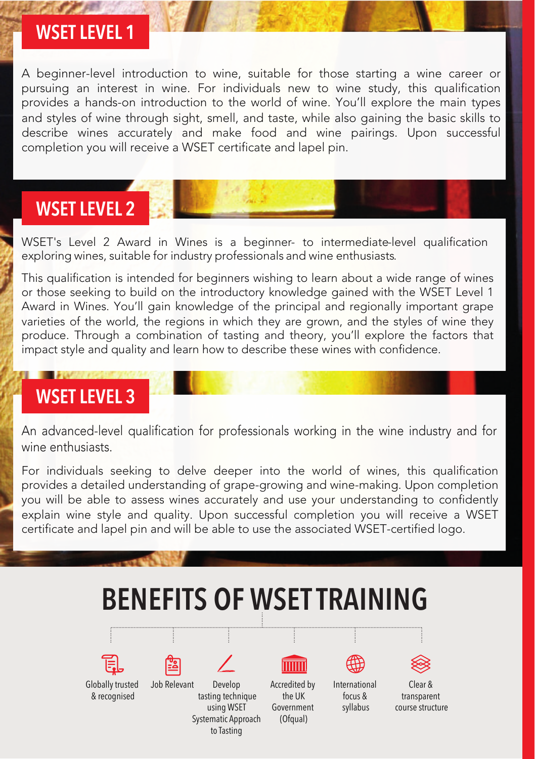#### **WSET LEVEL 1**

A beginner-level introduction to wine, suitable for those starting a wine career or pursuing an interest in wine. For individuals new to wine study, this qualification provides a hands-on introduction to the world of wine. You'll explore the main types and styles of wine through sight, smell, and taste, while also gaining the basic skills to describe wines accurately and make food and wine pairings. Upon successful completion you will receive a WSET certificate and lapel pin.

### **WSET LEVEL 2**

WSET's Level 2 Award in Wines is a beginner- to intermediate-level qualification exploring wines, suitable for industry professionals and wine enthusiasts.

This qualification is intended for beginners wishing to learn about a wide range of wines or those seeking to build on the introductory knowledge gained with the WSET Level 1 Award in Wines. You'll gain knowledge of the principal and regionally important grape varieties of the world, the regions in which they are grown, and the styles of wine they produce. Through a combination of tasting and theory, you'll explore the factors that impact style and quality and learn how to describe these wines with confidence.

# **WSET LEVEL 3**

An advanced-level qualification for professionals working in the wine industry and for wine enthusiasts.

For individuals seeking to delve deeper into the world of wines, this qualification provides a detailed understanding of grape-growing and wine-making. Upon completion you will be able to assess wines accurately and use your understanding to confidently explain wine style and quality. Upon successful completion you will receive a WSET certificate and lapel pin and will be able to use the associated WSET-certified logo.

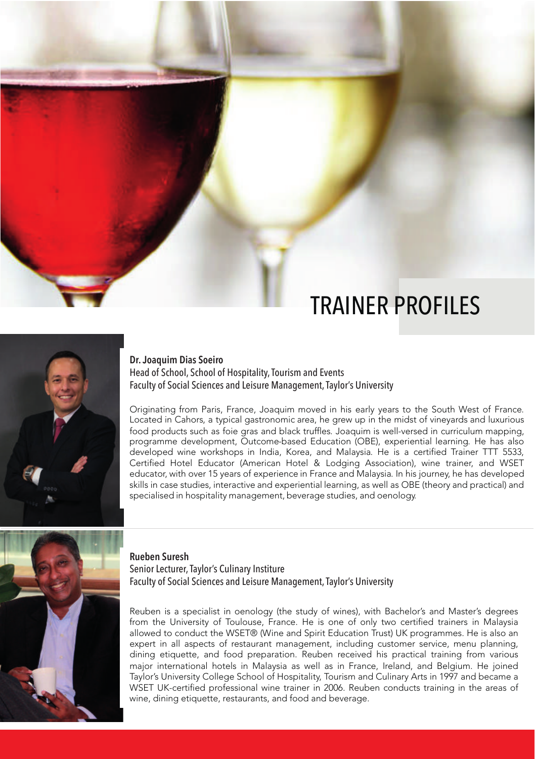# TRAINER PROFILES



**Dr. Joaquim Dias Soeiro**

Head of School, School of Hospitality, Tourism and Events Faculty of Social Sciences and Leisure Management, Taylor's University

Originating from Paris, France, Joaquim moved in his early years to the South West of France. Located in Cahors, a typical gastronomic area, he grew up in the midst of vineyards and luxurious food products such as foie gras and black truffles. Joaquim is well-versed in curriculum mapping, programme development, Outcome-based Education (OBE), experiential learning. He has also developed wine workshops in India, Korea, and Malaysia. He is a certified Trainer TTT 5533, Certified Hotel Educator (American Hotel & Lodging Association), wine trainer, and WSET educator, with over 15 years of experience in France and Malaysia. In his journey, he has developed skills in case studies, interactive and experiential learning, as well as OBE (theory and practical) and specialised in hospitality management, beverage studies, and oenology.



**Rueben Suresh** Senior Lecturer, Taylor's Culinary Institure Faculty of Social Sciences and Leisure Management, Taylor's University

Reuben is a specialist in oenology (the study of wines), with Bachelor's and Master's degrees from the University of Toulouse, France. He is one of only two certified trainers in Malaysia allowed to conduct the WSET® (Wine and Spirit Education Trust) UK programmes. He is also an expert in all aspects of restaurant management, including customer service, menu planning, dining etiquette, and food preparation. Reuben received his practical training from various major international hotels in Malaysia as well as in France, Ireland, and Belgium. He joined Taylor's University College School of Hospitality, Tourism and Culinary Arts in 1997 and became a WSET UK-certified professional wine trainer in 2006. Reuben conducts training in the areas of wine, dining etiquette, restaurants, and food and beverage.